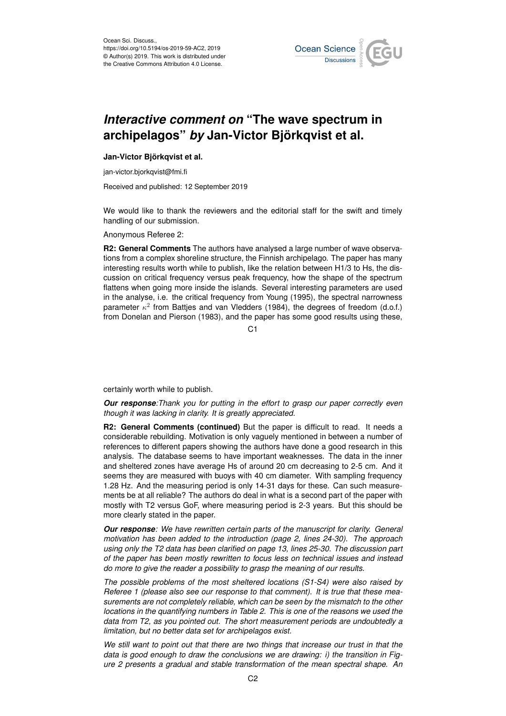

## *Interactive comment on* **"The wave spectrum in archipelagos"** *by* **Jan-Victor Björkqvist et al.**

## **Jan-Victor Björkqvist et al.**

jan-victor.bjorkqvist@fmi.fi

Received and published: 12 September 2019

We would like to thank the reviewers and the editorial staff for the swift and timely handling of our submission.

Anonymous Referee 2:

**R2: General Comments** The authors have analysed a large number of wave observations from a complex shoreline structure, the Finnish archipelago. The paper has many interesting results worth while to publish, like the relation between H1/3 to Hs, the discussion on critical frequency versus peak frequency, how the shape of the spectrum flattens when going more inside the islands. Several interesting parameters are used in the analyse, i.e. the critical frequency from Young (1995), the spectral narrowness parameter  $\kappa^2$  from Battjes and van Vledders (1984), the degrees of freedom (d.o.f.) from Donelan and Pierson (1983), and the paper has some good results using these,

 $C<sub>1</sub>$ 

certainly worth while to publish.

*Our response:Thank you for putting in the effort to grasp our paper correctly even though it was lacking in clarity. It is greatly appreciated.*

**R2: General Comments (continued)** But the paper is difficult to read. It needs a considerable rebuilding. Motivation is only vaguely mentioned in between a number of references to different papers showing the authors have done a good research in this analysis. The database seems to have important weaknesses. The data in the inner and sheltered zones have average Hs of around 20 cm decreasing to 2-5 cm. And it seems they are measured with buoys with 40 cm diameter. With sampling frequency 1.28 Hz. And the measuring period is only 14-31 days for these. Can such measurements be at all reliable? The authors do deal in what is a second part of the paper with mostly with T2 versus GoF, where measuring period is 2-3 years. But this should be more clearly stated in the paper.

*Our response: We have rewritten certain parts of the manuscript for clarity. General motivation has been added to the introduction (page 2, lines 24-30). The approach using only the T2 data has been clarified on page 13, lines 25-30. The discussion part of the paper has been mostly rewritten to focus less on technical issues and instead do more to give the reader a possibility to grasp the meaning of our results.*

*The possible problems of the most sheltered locations (S1-S4) were also raised by Referee 1 (please also see our response to that comment). It is true that these measurements are not completely reliable, which can be seen by the mismatch to the other locations in the quantifying numbers in Table 2. This is one of the reasons we used the data from T2, as you pointed out. The short measurement periods are undoubtedly a limitation, but no better data set for archipelagos exist.*

*We still want to point out that there are two things that increase our trust in that the data is good enough to draw the conclusions we are drawing: i) the transition in Figure 2 presents a gradual and stable transformation of the mean spectral shape. An*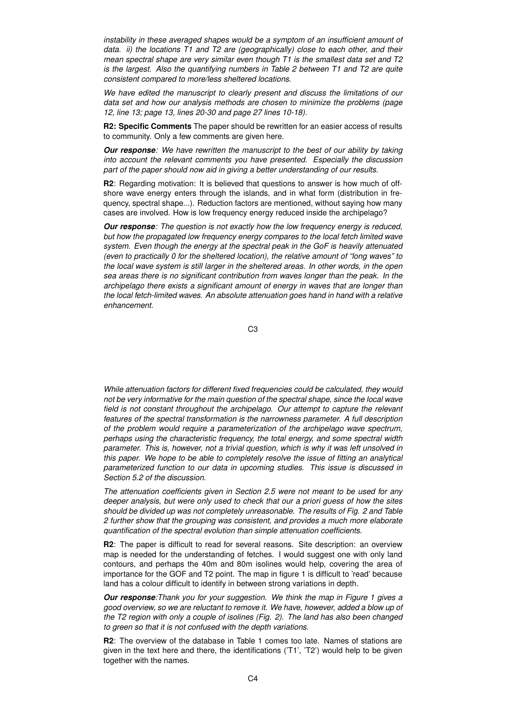*instability in these averaged shapes would be a symptom of an insufficient amount of data. ii) the locations T1 and T2 are (geographically) close to each other, and their mean spectral shape are very similar even though T1 is the smallest data set and T2 is the largest. Also the quantifying numbers in Table 2 between T1 and T2 are quite consistent compared to more/less sheltered locations.*

*We have edited the manuscript to clearly present and discuss the limitations of our data set and how our analysis methods are chosen to minimize the problems (page 12, line 13; page 13, lines 20-30 and page 27 lines 10-18).*

**R2: Specific Comments** The paper should be rewritten for an easier access of results to community. Only a few comments are given here.

*Our response: We have rewritten the manuscript to the best of our ability by taking into account the relevant comments you have presented. Especially the discussion part of the paper should now aid in giving a better understanding of our results.*

**R2**: Regarding motivation: It is believed that questions to answer is how much of offshore wave energy enters through the islands, and in what form (distribution in frequency, spectral shape...). Reduction factors are mentioned, without saying how many cases are involved. How is low frequency energy reduced inside the archipelago?

*Our response: The question is not exactly how the low frequency energy is reduced, but how the propagated low frequency energy compares to the local fetch limited wave system. Even though the energy at the spectral peak in the GoF is heavily attenuated (even to practically 0 for the sheltered location), the relative amount of "long waves" to the local wave system is still larger in the sheltered areas. In other words, in the open sea areas there is no significant contribution from waves longer than the peak. In the archipelago there exists a significant amount of energy in waves that are longer than the local fetch-limited waves. An absolute attenuation goes hand in hand with a relative enhancement.*

C3

*While attenuation factors for different fixed frequencies could be calculated, they would not be very informative for the main question of the spectral shape, since the local wave field is not constant throughout the archipelago. Our attempt to capture the relevant features of the spectral transformation is the narrowness parameter. A full description of the problem would require a parameterization of the archipelago wave spectrum, perhaps using the characteristic frequency, the total energy, and some spectral width parameter. This is, however, not a trivial question, which is why it was left unsolved in this paper. We hope to be able to completely resolve the issue of fitting an analytical parameterized function to our data in upcoming studies. This issue is discussed in Section 5.2 of the discussion.*

*The attenuation coefficients given in Section 2.5 were not meant to be used for any deeper analysis, but were only used to check that our a priori guess of how the sites should be divided up was not completely unreasonable. The results of Fig. 2 and Table 2 further show that the grouping was consistent, and provides a much more elaborate quantification of the spectral evolution than simple attenuation coefficients.*

**R2**: The paper is difficult to read for several reasons. Site description: an overview map is needed for the understanding of fetches. I would suggest one with only land contours, and perhaps the 40m and 80m isolines would help, covering the area of importance for the GOF and T2 point. The map in figure 1 is difficult to 'read' because land has a colour difficult to identify in between strong variations in depth.

*Our response:Thank you for your suggestion. We think the map in Figure 1 gives a good overview, so we are reluctant to remove it. We have, however, added a blow up of the T2 region with only a couple of isolines (Fig. 2). The land has also been changed to green so that it is not confused with the depth variations.*

**R2**: The overview of the database in Table 1 comes too late. Names of stations are given in the text here and there, the identifications ('T1', 'T2') would help to be given together with the names.